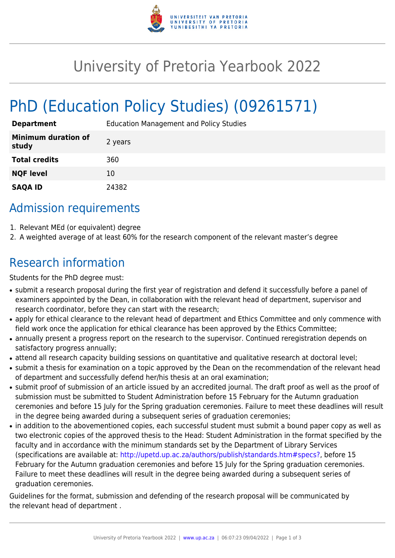

## University of Pretoria Yearbook 2022

# PhD (Education Policy Studies) (09261571)

| <b>Department</b>                   | <b>Education Management and Policy Studies</b> |
|-------------------------------------|------------------------------------------------|
| <b>Minimum duration of</b><br>study | 2 years                                        |
| <b>Total credits</b>                | 360                                            |
| <b>NQF level</b>                    | 10                                             |
| <b>SAQA ID</b>                      | 24382                                          |

#### Admission requirements

- 1. Relevant MEd (or equivalent) degree
- 2. A weighted average of at least 60% for the research component of the relevant master's degree

## Research information

Students for the PhD degree must:

- submit a research proposal during the first year of registration and defend it successfully before a panel of examiners appointed by the Dean, in collaboration with the relevant head of department, supervisor and research coordinator, before they can start with the research;
- apply for ethical clearance to the relevant head of department and Ethics Committee and only commence with field work once the application for ethical clearance has been approved by the Ethics Committee;
- annually present a progress report on the research to the supervisor. Continued reregistration depends on satisfactory progress annually;
- attend all research capacity building sessions on quantitative and qualitative research at doctoral level;
- submit a thesis for examination on a topic approved by the Dean on the recommendation of the relevant head of department and successfully defend her/his thesis at an oral examination;
- submit proof of submission of an article issued by an accredited journal. The draft proof as well as the proof of submission must be submitted to Student Administration before 15 February for the Autumn graduation ceremonies and before 15 July for the Spring graduation ceremonies. Failure to meet these deadlines will result in the degree being awarded during a subsequent series of graduation ceremonies;
- in addition to the abovementioned copies, each successful student must submit a bound paper copy as well as two electronic copies of the approved thesis to the Head: Student Administration in the format specified by the faculty and in accordance with the minimum standards set by the Department of Library Services (specifications are available at: [http://upetd.up.ac.za/authors/publish/standards.htm#specs?,](http://upetd.up.ac.za/authors/publish/standards.htm#specs) before 15 February for the Autumn graduation ceremonies and before 15 July for the Spring graduation ceremonies. Failure to meet these deadlines will result in the degree being awarded during a subsequent series of graduation ceremonies.

Guidelines for the format, submission and defending of the research proposal will be communicated by the relevant head of department .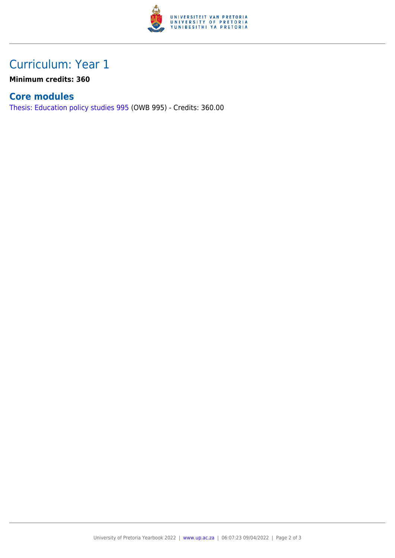

## Curriculum: Year 1

**Minimum credits: 360**

#### **Core modules**

[Thesis: Education policy studies 995](https://www.up.ac.za/parents/yearbooks/2022/modules/view/OWB 995) (OWB 995) - Credits: 360.00